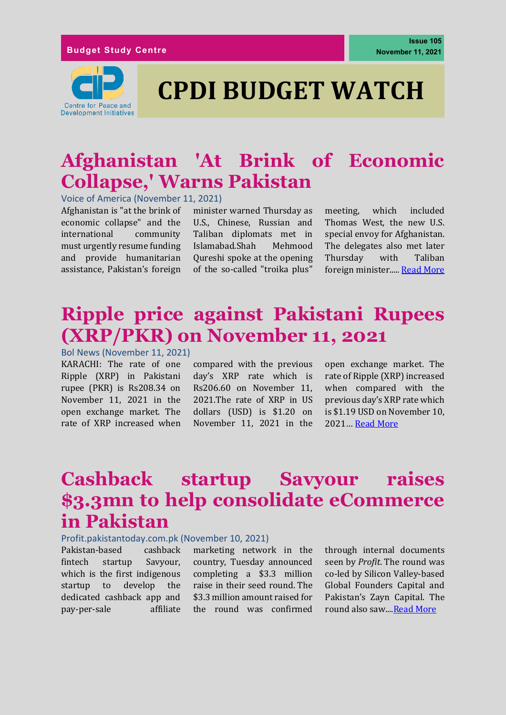#### **Budget Study Centre**



# **CPDI BUDGET WATCH**

### **Afghanistan 'At Brink of Economic Collapse,' Warns Pakistan**

Voice of America (November 11, 2021)

Afghanistan is "at the brink of economic collapse" and the international community must urgently resume funding and provide humanitarian assistance, Pakistan's foreign

minister warned Thursday as U.S., Chinese, Russian and Taliban diplomats met in Islamabad.Shah Mehmood Qureshi spoke at the opening of the so-called "troika plus"

meeting, which included Thomas West, the new U.S. special envoy for Afghanistan. The delegates also met later Thursday with Taliban foreign minister....[. Read More](https://www.voanews.com/a/afghanistan-at-brink-of-economic-collapse-warns-pakistan/6309174.html)

### **Ripple price against Pakistani Rupees (XRP/PKR) on November 11, 2021**

Bol News (November 11, 2021) KARACHI: The rate of one Ripple (XRP) in Pakistani rupee (PKR) is Rs208.34 on November 11, 2021 in the open exchange market. The rate of XRP increased when

compared with the previous day's XRP rate which is Rs206.60 on November 11, 2021.The rate of XRP in US dollars (USD) is \$1.20 on November 11, 2021 in the

open exchange market. The rate of Ripple (XRP) increased when compared with the previous day's XRP rate which is \$1.19 USD on November 10, 2021… [Read More](https://www.bolnews.com/business/2021/11/ripple-price-against-pakistani-rupees-xrp-pkr-on-november-11-2021/)

### **Cashback startup Savyour raises \$3.3mn to help consolidate eCommerce in Pakistan**

#### Profit.pakistantoday.com.pk (November 10, 2021)

Pakistan-based cashback fintech startup Savyour, which is the first indigenous startup to develop the dedicated cashback app and pay-per-sale affiliate marketing network in the country, Tuesday announced completing a \$3.3 million raise in their seed round. The \$3.3 million amount raised for the round was confirmed through internal documents seen by *Profit*. The round was co-led by Silicon Valley-based Global Founders Capital and Pakistan's Zayn Capital. The round also saw...[.Read More](https://profit.pakistantoday.com.pk/2021/11/10/cashback-startup-savyour-raises-3-3mn-to-help-consolidate-ecommerce-in-pakistan/)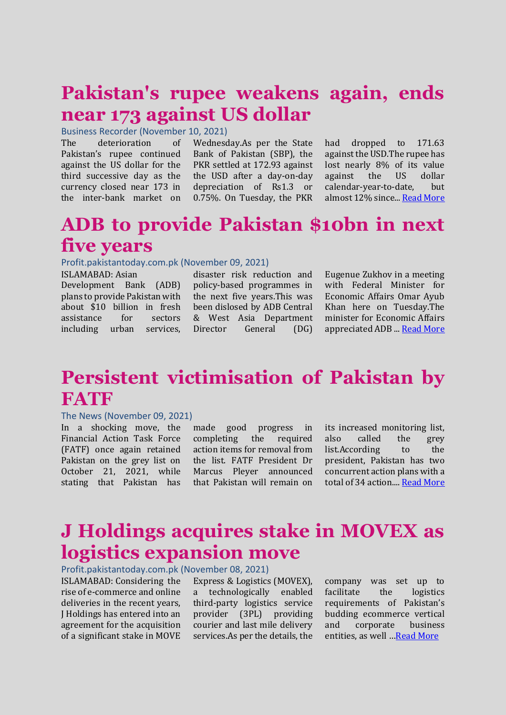### **Pakistan's rupee weakens again, ends near 173 against US dollar**

Business Recorder (November 10, 2021)

The deterioration of Pakistan's rupee continued against the US dollar for the third successive day as the currency closed near 173 in the inter-bank market on

Wednesday.As per the State Bank of Pakistan (SBP), the PKR settled at 172.93 against the USD after a day-on-day depreciation of Rs1.3 or 0.75%. On Tuesday, the PKR

had dropped to 171.63 against the USD.The rupee has lost nearly 8% of its value against the US dollar calendar-year-to-date, but almost 12% since..[. Read More](https://www.brecorder.com/news/40132492)

### **ADB to provide Pakistan \$10bn in next five years**

#### Profit.pakistantoday.com.pk (November 09, 2021)

ISLAMABAD: Asian Development Bank (ADB) plans to provide Pakistan with about \$10 billion in fresh assistance for sectors including urban services,

disaster risk reduction and policy-based programmes in the next five years.This was been dislosed by ADB Central & West Asia Department Director General (DG)

Eugenue Zukhov in a meeting with Federal Minister for Economic Affairs Omar Ayub Khan here on Tuesday.The minister for Economic Affairs appreciated ADB ... [Read More](https://profit.pakistantoday.com.pk/2021/11/09/adb-to-provide-pakistan-10bn-in-next-five-years/)

### **Persistent victimisation of Pakistan by FATF**

#### The News (November 09, 2021)

In a shocking move, the Financial Action Task Force (FATF) once again retained Pakistan on the grey list on October 21, 2021, while stating that Pakistan has

made good progress in completing the required action items for removal from the list. FATF President Dr Marcus Pleyer announced that Pakistan will remain on its increased monitoring list, also called the grey list.According to the president, Pakistan has two concurrent action plans with a total of 34 action...[. Read More](https://www.thenews.com.pk/print/907292-persistent-victimisation-of-pakistan-by-fatf)

### **J Holdings acquires stake in MOVEX as logistics expansion move**

Profit.pakistantoday.com.pk (November 08, 2021)

ISLAMABAD: Considering the rise of e-commerce and online deliveries in the recent years, J Holdings has entered into an agreement for the acquisition of a significant stake in MOVE

Express & Logistics (MOVEX), a technologically enabled third-party logistics service provider (3PL) providing courier and last mile delivery services.As per the details, the company was set up to facilitate the logistics requirements of Pakistan's budding ecommerce vertical and corporate business entities, as well ... [Read More](https://profit.pakistantoday.com.pk/2021/11/08/j-holdings-acquires-stake-in-movex-as-logistics-expansion-move/)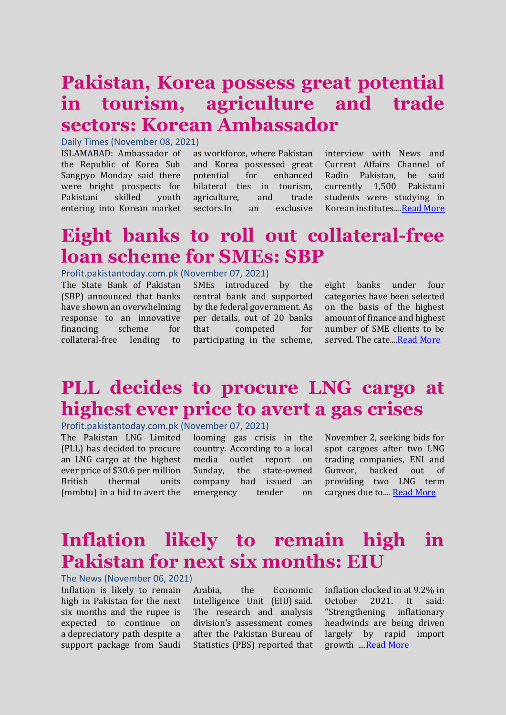### **Pakistan, Korea possess great potential in tourism, agriculture and trade sectors: Korean Ambassador**

Daily Times (November 08, 2021)

ISLAMABAD: Ambassador of the Republic of Korea Suh Sangpyo Monday said there were bright prospects for Pakistani skilled youth entering into Korean market

as workforce, where Pakistan and Korea possessed great potential for enhanced bilateral ties in tourism, agriculture, and trade sectors.In an exclusive interview with News and Current Affairs Channel of Radio Pakistan, he said currently 1,500 Pakistani students were studying in Korean institutes.... Read More

#### **Eight banks to roll out collateral-free loan scheme for SMEs: SBP**

#### Profit.pakistantoday.com.pk (November 07, 2021)

The State Bank of Pakistan (SBP) announced that banks have shown an overwhelming response to an innovative financing scheme for collateral-free lending to

SMEs introduced by the central bank and supported by the federal government. As per details, out of 20 banks that competed for participating in the scheme,

eight banks under four categories have been selected on the basis of the highest amount of finance and highest number of SME clients to be served. The cate..[..Read More](https://profit.pakistantoday.com.pk/2021/11/07/eight-banks-to-roll-out-collateral-free-loan-scheme-for-smes-sbp/)

### **PLL decides to procure LNG cargo at highest ever price to avert a gas crises**

Profit.pakistantoday.com.pk (November 07, 2021)

The Pakistan LNG Limited (PLL) has decided to procure an LNG cargo at the highest ever price of \$30.6 per million British thermal units (mmbtu) in a bid to avert the

looming gas crisis in the country. According to a local media outlet report on Sunday, the state-owned company had issued an emergency tender on

November 2, seeking bids for spot cargoes after two LNG trading companies, ENI and Gunvor, backed out of providing two LNG term cargoes due to.... [Read More](https://profit.pakistantoday.com.pk/2021/11/07/pll-to-procure-lng-cargo-at-highest-ever-price/)

#### **Inflation likely to remain high in Pakistan for next six months: EIU**

The News (November 06, 2021)

Inflation is likely to remain high in Pakistan for the next six months and the rupee is expected to continue on a depreciatory path despite a support package from Saudi

Arabia, the Economic Intelligence Unit (EIU) said. The research and analysis division's assessment comes after the Pakistan Bureau of Statistics (PBS) reported that inflation clocked in at 9.2% in October 2021. It said: "Strengthening inflationary headwinds are being driven largely by rapid import growth .... Read More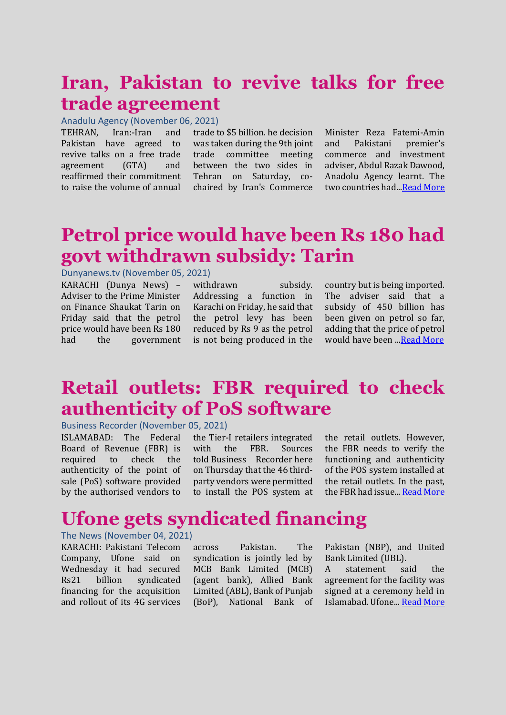### **Iran, Pakistan to revive talks for free trade agreement**

#### Anadulu Agency (November 06, 2021)

TEHRAN, Iran:-Iran and Pakistan have agreed to revive talks on a free trade agreement (GTA) and reaffirmed their commitment to raise the volume of annual

trade to \$5 billion. he decision was taken during the 9th joint trade committee meeting between the two sides in Tehran on Saturday, cochaired by Iran's Commerce Minister Reza Fatemi-Amin and Pakistani premier's commerce and investment adviser, Abdul Razak Dawood, Anadolu Agency learnt. The two countries had.[..Read More](https://www.aa.com.tr/en/asia-pacific/iran-pakistan-to-revive-talks-for-free-trade-agreement/2413664)

### **Petrol price would have been Rs 180 had govt withdrawn subsidy: Tarin**

#### Dunyanews.tv (November 05, 2021)

KARACHI (Dunya News) – Adviser to the Prime Minister on Finance Shaukat Tarin on Friday said that the petrol price would have been Rs 180 had the government

withdrawn subsidy. Addressing a function in Karachi on Friday, he said that the petrol levy has been reduced by Rs 9 as the petrol is not being produced in the country but is being imported. The adviser said that a subsidy of 450 billion has been given on petrol so far, adding that the price of petrol would have been .[..Read More](https://dunyanews.tv/en/Business/627307-Petrol-price-would-have-Rs-180-had-govt-withdrawn-subsidy-Tarin)

#### **Retail outlets: FBR required to check authenticity of PoS software**

#### Business Recorder (November 05, 2021)

ISLAMABAD: The Federal Board of Revenue (FBR) is required to check the authenticity of the point of sale (PoS) software provided by the authorised vendors to

the Tier-I retailers integrated with the FBR. Sources told Business Recorder here on Thursday that the 46 thirdparty vendors were permitted to install the POS system at the retail outlets. However, the FBR needs to verify the functioning and authenticity of the POS system installed at the retail outlets. In the past, the FBR had issue... [Read More](https://www.brecorder.com/news/40131425)

### **Ufone gets syndicated financing**

#### The News (November 04, 2021)

KARACHI: Pakistani Telecom Company, Ufone said on Wednesday it had secured Rs21 billion syndicated financing for the acquisition and rollout of its 4G services across Pakistan. The syndication is jointly led by MCB Bank Limited (MCB) (agent bank), Allied Bank Limited (ABL), Bank of Punjab (BoP), National Bank of Pakistan (NBP), and United Bank Limited (UBL).

A statement said the agreement for the facility was signed at a ceremony held in Islamabad. Ufone..[. Read More](https://www.thenews.com.pk/print/905790-ufone-gets-syndicated-financing)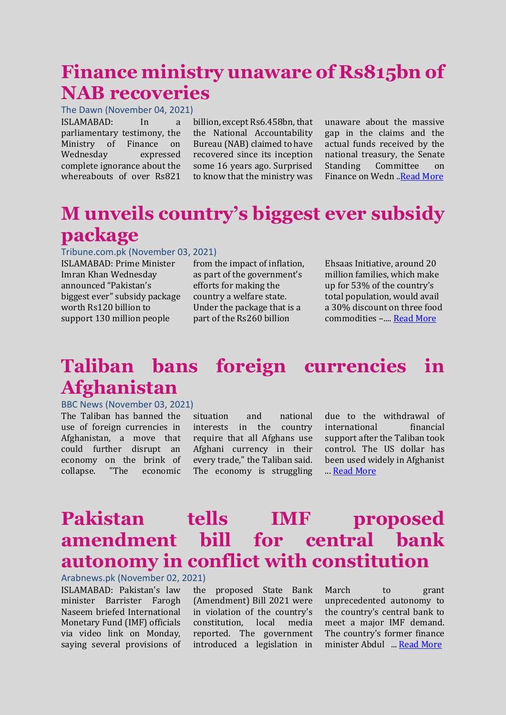### **Finance ministry unaware of Rs815bn of NAB recoveries**

The Dawn (November 04, 2021) ISLAMABAD: In a parliamentary testimony, the Ministry of Finance on Wednesday expressed complete ignorance about the whereabouts of over Rs821

billion, except Rs6.458bn, that the National Accountability Bureau (NAB) claimed to have recovered since its inception some 16 years ago. Surprised to know that the ministry was

unaware about the massive gap in the claims and the actual funds received by the national treasury, the Senate Standing Committee on Finance on Wedn .[.Read More](https://www.dawn.com/news/1655814)

### **M unveils country's biggest ever subsidy package**

#### Tribune.com.pk (November 03, 2021)

ISLAMABAD: Prime Minister Imran Khan Wednesday announced "Pakistan's biggest ever" subsidy package worth Rs120 billion to support 130 million people

from the impact of inflation, as part of the government's efforts for making the country a welfare state. Under the package that is a part of the Rs260 billion

Ehsaas Initiative, around 20 million families, which make up for 53% of the country's total population, would avail a 30% discount on three food commodities –.... [Read More](https://tribune.com.pk/story/2327653/pm-unveils-countrys-biggest-ever-subsidy-package)

## **Taliban bans foreign currencies in Afghanistan**

#### BBC News (November 03, 2021)

The Taliban has banned the use of foreign currencies in Afghanistan, a move that could further disrupt an economy on the brink of<br>collanse. "The economic collapse. "The economic

situation and national interests in the country require that all Afghans use Afghani currency in their every trade," the Taliban said. The economy is struggling due to the withdrawal of international financial support after the Taliban took control. The US dollar has been used widely in Afghanist ... [Read More](https://www.bbc.com/news/business-59129470)

### **Pakistan tells IMF proposed amendment bill for central bank autonomy in conflict with constitution**

Arabnews.pk (November 02, 2021) ISLAMABAD: Pakistan's law minister Barrister Farogh Naseem briefed International Monetary Fund (IMF) officials via video link on Monday, saying several provisions of

the proposed State Bank (Amendment) Bill 2021 were in violation of the country's constitution, local media reported. The government introduced a legislation in March to grant unprecedented autonomy to the country's central bank to meet a major IMF demand. The country's former finance minister Abdul ... [Read More](https://www.arabnews.pk/node/1959671/pakistan)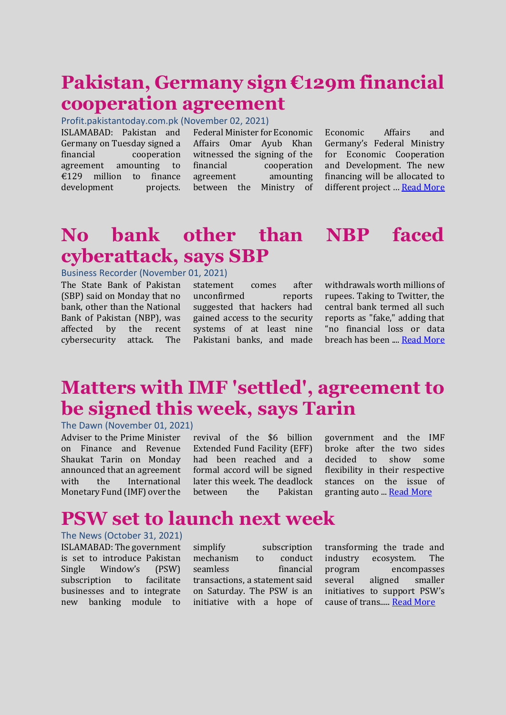### **Pakistan, Germany sign €129m financial cooperation agreement**

#### Profit.pakistantoday.com.pk (November 02, 2021)

ISLAMABAD: Pakistan and Germany on Tuesday signed a financial cooperation agreement amounting to €129 million to finance development projects.

Federal Minister for Economic Affairs Omar Ayub Khan witnessed the signing of the financial cooperation agreement amounting between the Ministry of Economic Affairs and Germany's Federal Ministry for Economic Cooperation and Development. The new financing will be allocated to different project ... [Read More](https://profit.pakistantoday.com.pk/2021/11/02/pakistan-germany-sign-e129m-financial-cooperation-agreement/)

#### **No bank other than NBP faced cyberattack, says SBP**

#### Business Recorder (November 01, 2021)

The State Bank of Pakistan (SBP) said on Monday that no bank, other than the National Bank of Pakistan (NBP), was affected by the recent cybersecurity attack. The statement comes after unconfirmed reports suggested that hackers had gained access to the security systems of at least nine Pakistani banks, and made withdrawals worth millions of rupees. Taking to Twitter, the central bank termed all such reports as "fake," adding that "no financial loss or data breach has been ...[. Read More](https://www.brecorder.com/news/40130474)

#### **Matters with IMF 'settled', agreement to be signed this week, says Tarin**

#### The Dawn (November 01, 2021)

Adviser to the Prime Minister on Finance and Revenue Shaukat Tarin on Monday announced that an agreement with the International Monetary Fund (IMF) over the

revival of the \$6 billion Extended Fund Facility (EFF) had been reached and a formal accord will be signed later this week. The deadlock between the Pakistan

government and the IMF broke after the two sides decided to show some flexibility in their respective stances on the issue of granting auto ..[. Read More](https://www.dawn.com/news/1655314)

### **PSW set to launch next week**

#### The News (October 31, 2021)

ISLAMABAD: The government is set to introduce Pakistan Single Window's (PSW) subscription to facilitate businesses and to integrate new banking module to

simplify subscription mechanism to conduct seamless financial transactions, a statement said on Saturday. The PSW is an initiative with a hope of transforming the trade and industry ecosystem. The program encompasses several aligned smaller initiatives to support PSW's cause of trans....[. Read More](https://www.thenews.com.pk/print/904565-psw-set-to-launch-next-week)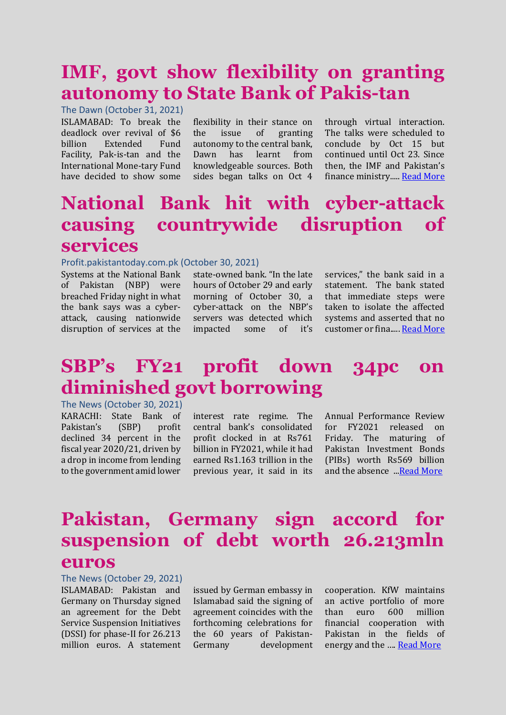### **IMF, govt show flexibility on granting autonomy to State Bank of Pakis-tan**

The Dawn (October 31, 2021) ISLAMABAD: To break the deadlock over revival of \$6 billion Extended Fund Facility, Pak-is-tan and the International Mone-tary Fund have decided to show some

flexibility in their stance on the issue of granting autonomy to the central bank, Dawn has learnt from knowledgeable sources. Both sides began talks on Oct 4

through virtual interaction. The talks were scheduled to conclude by Oct 15 but continued until Oct 23. Since then, the IMF and Pakistan's finance ministry....[. Read More](https://www.dawn.com/news/1655076)

### **National Bank hit with cyber-attack causing countrywide disruption of services**

#### Profit.pakistantoday.com.pk (October 30, 2021)

Systems at the National Bank of Pakistan (NBP) were breached Friday night in what the bank says was a cyberattack, causing nationwide disruption of services at the

state-owned bank. "In the late hours of October 29 and early morning of October 30, a cyber-attack on the NBP's servers was detected which impacted some of it's services," the bank said in a statement. The bank stated that immediate steps were taken to isolate the affected systems and asserted that no customer or fina..... [Read More](https://profit.pakistantoday.com.pk/2021/10/31/national-bank-hit-with-cyber-attack-causing-countrywide-disruption-of-services/)

## **SBP's FY21 profit down 34pc on diminished govt borrowing**

The News (October 30, 2021) KARACHI: State Bank of Pakistan's (SBP) profit declined 34 percent in the fiscal year 2020/21, driven by a drop in income from lending to the government amid lower

interest rate regime. The central bank's consolidated profit clocked in at Rs761 billion in FY2021, while it had earned Rs1.163 trillion in the previous year, it said in its Annual Performance Review for FY2021 released on Friday. The maturing of Pakistan Investment Bonds (PIBs) worth Rs569 billion and the absence ..[.Read More](thenews.com.pk/print/904330-sbp-s-fy21-profit-down-34pc-on-diminished-govt-borrowing)

### **Pakistan, Germany sign accord for suspension of debt worth 26.213mln euros**

The News (October 29, 2021) ISLAMABAD: Pakistan and Germany on Thursday signed an agreement for the Debt Service Suspension Initiatives (DSSI) for phase-II for 26.213 million euros. A statement

issued by German embassy in Islamabad said the signing of agreement coincides with the forthcoming celebrations for the 60 years of Pakistan-Germany development cooperation. KfW maintains an active portfolio of more than euro 600 million financial cooperation with Pakistan in the fields of energy and the …. [Read More](https://www.thenews.com.pk/print/903977-pakistan-germany-sign-accord-for-suspension-of-debt-worth-26-213mln-euros)